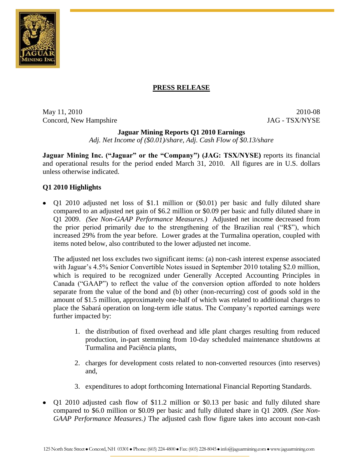

## **PRESS RELEASE**

May 11, 2010 2010-08 Concord, New Hampshire JAG - TSX/NYSE

### **Jaguar Mining Reports Q1 2010 Earnings**

*Adj. Net Income of (\$0.01)/share, Adj. Cash Flow of \$0.13/share* 

**Jaguar Mining Inc. ("Jaguar" or the "Company") (JAG: TSX/NYSE)** reports its financial and operational results for the period ended March 31, 2010. All figures are in U.S. dollars unless otherwise indicated.

## **Q1 2010 Highlights**

Q1 2010 adjusted net loss of \$1.1 million or (\$0.01) per basic and fully diluted share compared to an adjusted net gain of \$6.2 million or \$0.09 per basic and fully diluted share in Q1 2009. *(See Non-GAAP Performance Measures.)* Adjusted net income decreased from the prior period primarily due to the strengthening of the Brazilian real ("R\$"), which increased 29% from the year before. Lower grades at the Turmalina operation, coupled with items noted below, also contributed to the lower adjusted net income.

The adjusted net loss excludes two significant items: (a) non-cash interest expense associated with Jaguar's 4.5% Senior Convertible Notes issued in September 2010 totaling \$2.0 million, which is required to be recognized under Generally Accepted Accounting Principles in Canada ("GAAP") to reflect the value of the conversion option afforded to note holders separate from the value of the bond and (b) other (non-recurring) cost of goods sold in the amount of \$1.5 million, approximately one-half of which was related to additional charges to place the Sabará operation on long-term idle status. The Company's reported earnings were further impacted by:

- 1. the distribution of fixed overhead and idle plant charges resulting from reduced production, in-part stemming from 10-day scheduled maintenance shutdowns at Turmalina and Paciência plants,
- 2. charges for development costs related to non-converted resources (into reserves) and,
- 3. expenditures to adopt forthcoming International Financial Reporting Standards.
- Q1 2010 adjusted cash flow of \$11.2 million or \$0.13 per basic and fully diluted share compared to \$6.0 million or \$0.09 per basic and fully diluted share in Q1 2009. *(See Non-GAAP Performance Measures.)* The adjusted cash flow figure takes into account non-cash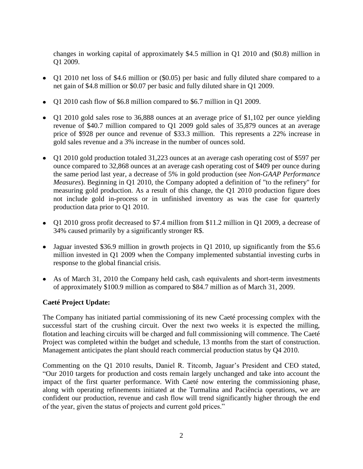changes in working capital of approximately \$4.5 million in Q1 2010 and (\$0.8) million in Q1 2009.

- Q1 2010 net loss of \$4.6 million or (\$0.05) per basic and fully diluted share compared to a net gain of \$4.8 million or \$0.07 per basic and fully diluted share in Q1 2009.
- Q1 2010 cash flow of \$6.8 million compared to \$6.7 million in Q1 2009.
- Q1 2010 gold sales rose to 36,888 ounces at an average price of \$1,102 per ounce yielding revenue of \$40.7 million compared to Q1 2009 gold sales of 35,879 ounces at an average price of \$928 per ounce and revenue of \$33.3 million. This represents a 22% increase in gold sales revenue and a 3% increase in the number of ounces sold.
- Q1 2010 gold production totaled 31,223 ounces at an average cash operating cost of \$597 per ounce compared to 32,868 ounces at an average cash operating cost of \$409 per ounce during the same period last year, a decrease of 5% in gold production (see *Non-GAAP Performance Measures*). Beginning in Q1 2010, the Company adopted a definition of "to the refinery" for measuring gold production. As a result of this change, the Q1 2010 production figure does not include gold in-process or in unfinished inventory as was the case for quarterly production data prior to Q1 2010.
- Q1 2010 gross profit decreased to \$7.4 million from \$11.2 million in Q1 2009, a decrease of 34% caused primarily by a significantly stronger R\$.
- Jaguar invested \$36.9 million in growth projects in Q1 2010, up significantly from the \$5.6 million invested in Q1 2009 when the Company implemented substantial investing curbs in response to the global financial crisis.
- As of March 31, 2010 the Company held cash, cash equivalents and short-term investments of approximately \$100.9 million as compared to \$84.7 million as of March 31, 2009.

## **Caeté Project Update:**

The Company has initiated partial commissioning of its new Caeté processing complex with the successful start of the crushing circuit. Over the next two weeks it is expected the milling, flotation and leaching circuits will be charged and full commissioning will commence. The Caeté Project was completed within the budget and schedule, 13 months from the start of construction. Management anticipates the plant should reach commercial production status by Q4 2010.

Commenting on the Q1 2010 results, Daniel R. Titcomb, Jaguar's President and CEO stated, "Our 2010 targets for production and costs remain largely unchanged and take into account the impact of the first quarter performance. With Caeté now entering the commissioning phase, along with operating refinements initiated at the Turmalina and Paciência operations, we are confident our production, revenue and cash flow will trend significantly higher through the end of the year, given the status of projects and current gold prices."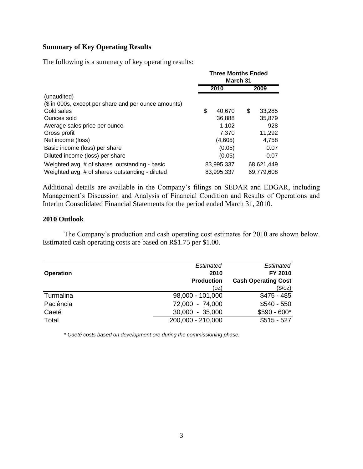## **Summary of Key Operating Results**

The following is a summary of key operating results:

|                                                      | <b>Three Months Ended</b><br>March 31 |            |    |            |
|------------------------------------------------------|---------------------------------------|------------|----|------------|
|                                                      |                                       | 2010       |    | 2009       |
| (unaudited)                                          |                                       |            |    |            |
| (\$ in 000s, except per share and per ounce amounts) |                                       |            |    |            |
| Gold sales                                           | \$                                    | 40.670     | \$ | 33,285     |
| Ounces sold                                          |                                       | 36,888     |    | 35,879     |
| Average sales price per ounce                        |                                       | 1.102      |    | 928        |
| Gross profit                                         |                                       | 7,370      |    | 11,292     |
| Net income (loss)                                    |                                       | (4,605)    |    | 4,758      |
| Basic income (loss) per share                        |                                       | (0.05)     |    | 0.07       |
| Diluted income (loss) per share                      |                                       | (0.05)     |    | 0.07       |
| Weighted avg. # of shares outstanding - basic        |                                       | 83,995,337 |    | 68,621,449 |
| Weighted avg. # of shares outstanding - diluted      |                                       | 83.995.337 |    | 69,779,608 |

Additional details are available in the Company's filings on SEDAR and EDGAR, including Management's Discussion and Analysis of Financial Condition and Results of Operations and Interim Consolidated Financial Statements for the period ended March 31, 2010.

#### **2010 Outlook**

The Company's production and cash operating cost estimates for 2010 are shown below. Estimated cash operating costs are based on R\$1.75 per \$1.00.

|                  | Estimated         | Estimated                  |
|------------------|-------------------|----------------------------|
| <b>Operation</b> | 2010              | FY 2010                    |
|                  | <b>Production</b> | <b>Cash Operating Cost</b> |
|                  | (oz)              | $(\$/oz)$                  |
| Turmalina        | 98,000 - 101,000  | $$475 - 485$               |
| Paciência        | 72,000 - 74,000   | $$540 - 550$               |
| Caeté            | $30,000 - 35,000$ | $$590 - 600*$              |
| Total            | 200,000 - 210,000 | $$515 - 527$               |

*\* Caeté costs based on development ore during the commissioning phase.*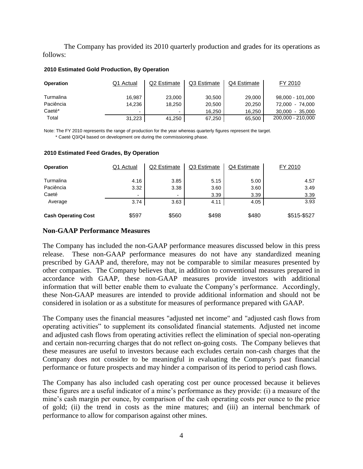The Company has provided its 2010 quarterly production and grades for its operations as follows:

#### **2010 Estimated Gold Production, By Operation**

| <b>Operation</b> | Q1 Actual | Q2 Estimate              | Q3 Estimate | Q4 Estimate | FY 2010             |
|------------------|-----------|--------------------------|-------------|-------------|---------------------|
| Turmalina        | 16,987    | 23,000                   | 30,500      | 29,000      | 98,000 - 101,000    |
| Paciência        | 14.236    | 18,250                   | 20,500      | 20,250      | 72.000<br>- 74.000  |
| Caeté*           | ۰         | $\overline{\phantom{0}}$ | 16.250      | 16.250      | 30.000<br>$-35.000$ |
| Total            | 31,223    | 41,250                   | 67,250      | 65,500      | 200,000 - 210,000   |

 \* Caeté Q3/Q4 based on development ore during the commissioning phase. Note: The FY 2010 represents the range of production for the year whereas quarterly figures represent the target.

| 2010 Estimated Feed Grades, By Operation |
|------------------------------------------|
|------------------------------------------|

| <b>Operation</b>           | Q1 Actual                | Q2 Estimate  | Q3 Estimate  | Q4 Estimate  | FY 2010      |
|----------------------------|--------------------------|--------------|--------------|--------------|--------------|
| Turmalina<br>Paciência     | 4.16<br>3.32             | 3.85<br>3.38 | 5.15<br>3.60 | 5.00<br>3.60 | 4.57<br>3.49 |
| Caeté                      | $\overline{\phantom{0}}$ | -            | 3.39         | 3.39         | 3.39         |
| Average                    | 3.74                     | 3.63         | 4.11         | 4.05         | 3.93         |
| <b>Cash Operating Cost</b> | \$597                    | \$560        | \$498        | \$480        | \$515-\$527  |

#### **Non-GAAP Performance Measures**

The Company has included the non-GAAP performance measures discussed below in this press release. These non-GAAP performance measures do not have any standardized meaning prescribed by GAAP and, therefore, may not be comparable to similar measures presented by other companies. The Company believes that, in addition to conventional measures prepared in accordance with GAAP, these non-GAAP measures provide investors with additional information that will better enable them to evaluate the Company's performance. Accordingly, these Non-GAAP measures are intended to provide additional information and should not be considered in isolation or as a substitute for measures of performance prepared with GAAP.

The Company uses the financial measures "adjusted net income" and "adjusted cash flows from operating activities" to supplement its consolidated financial statements. Adjusted net income and adjusted cash flows from operating activities reflect the elimination of special non-operating and certain non-recurring charges that do not reflect on-going costs. The Company believes that these measures are useful to investors because each excludes certain non-cash charges that the Company does not consider to be meaningful in evaluating the Company's past financial performance or future prospects and may hinder a comparison of its period to period cash flows.

The Company has also included cash operating cost per ounce processed because it believes these figures are a useful indicator of a mine's performance as they provide: (i) a measure of the mine's cash margin per ounce, by comparison of the cash operating costs per ounce to the price of gold; (ii) the trend in costs as the mine matures; and (iii) an internal benchmark of performance to allow for comparison against other mines.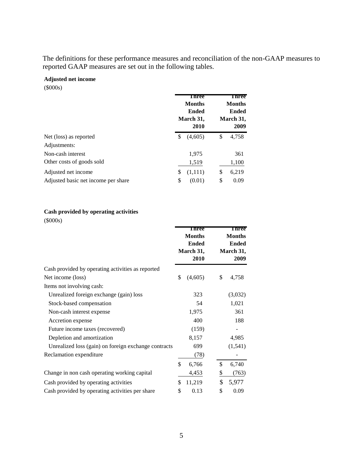The definitions for these performance measures and reconciliation of the non-GAAP measures to reported GAAP measures are set out in the following tables.

### **Adjusted net income**

(\$000s)

|                                     | <b>Three</b><br><b>Months</b><br><b>Ended</b><br>March 31,<br>2010 | <b>Three</b><br><b>Months</b><br><b>Ended</b><br>March 31,<br>2009 |  |
|-------------------------------------|--------------------------------------------------------------------|--------------------------------------------------------------------|--|
| Net (loss) as reported              | (4,605)<br>\$                                                      | 4,758<br>\$                                                        |  |
| Adjustments:                        |                                                                    |                                                                    |  |
| Non-cash interest                   | 1,975                                                              | 361                                                                |  |
| Other costs of goods sold           | 1,519                                                              | 1,100                                                              |  |
| Adjusted net income                 | \$<br>(1,111)                                                      | 6,219<br>\$                                                        |  |
| Adjusted basic net income per share | \$<br>(0.01)                                                       | \$<br>0.09                                                         |  |

#### **Cash provided by operating activities**

(\$000s)

|                                                      | Three<br><b>Months</b><br><b>Ended</b><br>March 31,<br>2010 | Three<br><b>Months</b><br><b>Ended</b><br>March 31,<br>2009 |  |
|------------------------------------------------------|-------------------------------------------------------------|-------------------------------------------------------------|--|
| Cash provided by operating activities as reported    |                                                             |                                                             |  |
| Net income (loss)                                    | \$<br>(4,605)                                               | \$<br>4,758                                                 |  |
| Items not involving cash:                            |                                                             |                                                             |  |
| Unrealized foreign exchange (gain) loss              | 323                                                         | (3,032)                                                     |  |
| Stock-based compensation                             | 54                                                          | 1,021                                                       |  |
| Non-cash interest expense                            | 1,975                                                       | 361                                                         |  |
| Accretion expense                                    | 400                                                         | 188                                                         |  |
| Future income taxes (recovered)                      | (159)                                                       |                                                             |  |
| Depletion and amortization                           | 8,157                                                       | 4,985                                                       |  |
| Unrealized loss (gain) on foreign exchange contracts | 699                                                         | (1, 541)                                                    |  |
| Reclamation expenditure                              | (78)                                                        |                                                             |  |
|                                                      | \$<br>6,766                                                 | \$<br>6,740                                                 |  |
| Change in non cash operating working capital         | 4,453                                                       | \$<br>(763)                                                 |  |
| Cash provided by operating activities                | \$<br>11,219                                                | \$<br>5,977                                                 |  |
| Cash provided by operating activities per share      | \$<br>0.13                                                  | \$<br>0.09                                                  |  |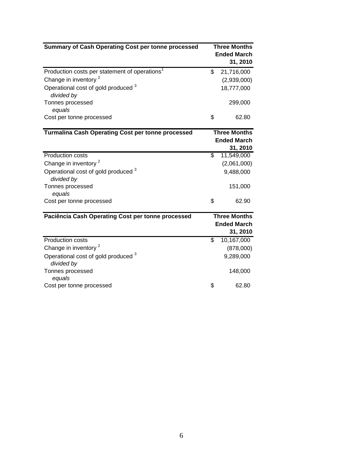| Summary of Cash Operating Cost per tonne processed        | <b>Three Months</b><br><b>Ended March</b> |                                |
|-----------------------------------------------------------|-------------------------------------------|--------------------------------|
|                                                           |                                           | 31, 2010                       |
| Production costs per statement of operations <sup>1</sup> | \$                                        | 21,716,000                     |
| Change in inventory <sup>2</sup>                          |                                           | (2,939,000)                    |
| Operational cost of gold produced 3<br>divided by         |                                           | 18,777,000                     |
| Tonnes processed                                          |                                           | 299,000                        |
| equals                                                    |                                           |                                |
| Cost per tonne processed                                  | \$                                        | 62.80                          |
| <b>Turmalina Cash Operating Cost per tonne processed</b>  | <b>Three Months</b>                       |                                |
|                                                           |                                           | <b>Ended March</b>             |
|                                                           |                                           | 31, 2010                       |
| <b>Production costs</b>                                   | \$                                        | 11,549,000                     |
| Change in inventory <sup>2</sup>                          |                                           | (2,061,000)                    |
| Operational cost of gold produced 3<br>divided by         |                                           | 9,488,000                      |
| Tonnes processed<br>equals                                |                                           | 151,000                        |
| Cost per tonne processed                                  | \$                                        | 62.90                          |
| Paciência Cash Operating Cost per tonne processed         |                                           | <b>Three Months</b>            |
|                                                           |                                           | <b>Ended March</b><br>31, 2010 |
| <b>Production costs</b>                                   | $\overline{\mathbb{S}}$                   | 10,167,000                     |
| Change in inventory <sup>2</sup>                          |                                           | (878,000)                      |
| Operational cost of gold produced 3<br>divided by         |                                           | 9,289,000                      |
| Tonnes processed<br>equals                                |                                           | 148,000                        |
| Cost per tonne processed                                  | \$                                        | 62.80                          |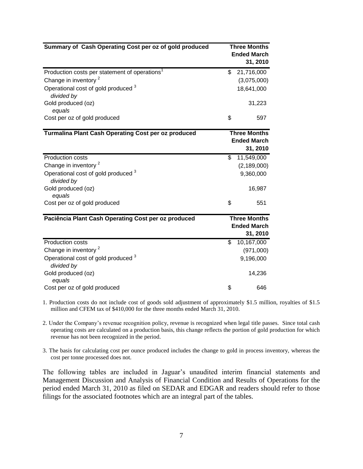| Summary of Cash Operating Cost per oz of gold produced       | <b>Three Months</b><br><b>Ended March</b><br>31, 2010 |
|--------------------------------------------------------------|-------------------------------------------------------|
| Production costs per statement of operations <sup>1</sup>    | \$<br>21,716,000                                      |
| Change in inventory <sup>2</sup>                             | (3,075,000)                                           |
| Operational cost of gold produced 3<br>divided by            | 18,641,000                                            |
| Gold produced (oz)<br>equals                                 | 31,223                                                |
| Cost per oz of gold produced                                 | \$<br>597                                             |
| <b>Turmalina Plant Cash Operating Cost per oz produced</b>   | <b>Three Months</b><br><b>Ended March</b>             |
|                                                              | 31, 2010                                              |
| <b>Production costs</b>                                      | \$<br>11,549,000                                      |
| Change in inventory <sup>2</sup>                             | (2, 189, 000)                                         |
| Operational cost of gold produced <sup>3</sup><br>divided by | 9,360,000                                             |
| Gold produced (oz)<br>equals                                 | 16,987                                                |
| Cost per oz of gold produced                                 | \$<br>551                                             |
| Paciência Plant Cash Operating Cost per oz produced          | <b>Three Months</b><br><b>Ended March</b>             |
|                                                              | 31, 2010                                              |
| <b>Production costs</b>                                      | \$<br>10,167,000                                      |
| Change in inventory <sup>2</sup>                             | (971,000)                                             |
| Operational cost of gold produced 3<br>divided by            | 9,196,000                                             |
| Gold produced (oz)<br>equals                                 | 14,236                                                |
| Cost per oz of gold produced                                 | \$<br>646                                             |

1. Production costs do not include cost of goods sold adjustment of approximately \$1.5 million, royalties of \$1.5 million and CFEM tax of \$410,000 for the three months ended March 31, 2010.

2. Under the Company's revenue recognition policy, revenue is recognized when legal title passes. Since total cash operating costs are calculated on a production basis, this change reflects the portion of gold production for which revenue has not been recognized in the period.

3. The basis for calculating cost per ounce produced includes the change to gold in process inventory, whereas the cost per tonne processed does not.

The following tables are included in Jaguar's unaudited interim financial statements and Management Discussion and Analysis of Financial Condition and Results of Operations for the period ended March 31, 2010 as filed on SEDAR and EDGAR and readers should refer to those filings for the associated footnotes which are an integral part of the tables.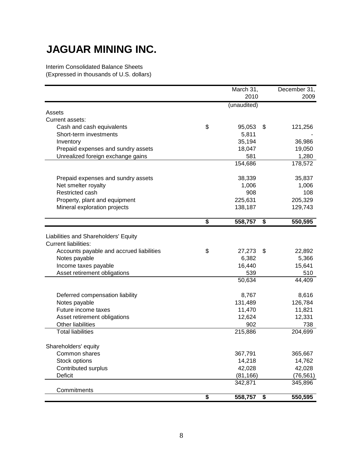# **JAGUAR MINING INC.**

Interim Consolidated Balance Sheets (Expressed in thousands of U.S. dollars)

|                                          | March 31,     | December 31,  |
|------------------------------------------|---------------|---------------|
|                                          | 2010          | 2009          |
|                                          | (unaudited)   |               |
| Assets                                   |               |               |
| Current assets:                          |               |               |
| Cash and cash equivalents                | \$<br>95,053  | \$<br>121,256 |
| Short-term investments                   | 5,811         |               |
| Inventory                                | 35,194        | 36,986        |
| Prepaid expenses and sundry assets       | 18,047        | 19,050        |
| Unrealized foreign exchange gains        | 581           | 1,280         |
|                                          | 154,686       | 178,572       |
| Prepaid expenses and sundry assets       | 38,339        | 35,837        |
| Net smelter royalty                      | 1,006         | 1,006         |
| Restricted cash                          | 908           | 108           |
| Property, plant and equipment            | 225,631       | 205,329       |
| Mineral exploration projects             | 138,187       | 129,743       |
|                                          | \$<br>558,757 | \$<br>550,595 |
|                                          |               |               |
| Liabilities and Shareholders' Equity     |               |               |
| <b>Current liabilities:</b>              |               |               |
| Accounts payable and accrued liabilities | \$<br>27,273  | \$<br>22,892  |
| Notes payable                            | 6,382         | 5,366         |
| Income taxes payable                     | 16,440        | 15,641        |
| Asset retirement obligations             | 539           | 510           |
|                                          | 50,634        | 44,409        |
| Deferred compensation liability          | 8,767         | 8,616         |
| Notes payable                            | 131,489       | 126,784       |
| Future income taxes                      | 11,470        | 11,821        |
| Asset retirement obligations             | 12,624        | 12,331        |
| <b>Other liabilities</b>                 | 902           | 738           |
| <b>Total liabilities</b>                 | 215,886       | 204,699       |
| Shareholders' equity                     |               |               |
| Common shares                            | 367,791       | 365,667       |
| Stock options                            | 14,218        | 14,762        |
| Contributed surplus                      | 42,028        | 42,028        |
| Deficit                                  | (81, 166)     | (76, 561)     |
|                                          | 342,871       | 345,896       |
| Commitments                              | \$<br>558,757 | \$<br>550,595 |
|                                          |               |               |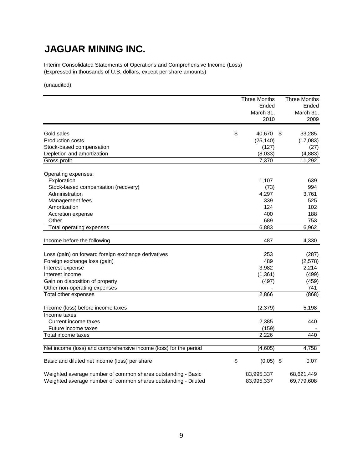## **JAGUAR MINING INC.**

Interim Consolidated Statements of Operations and Comprehensive Income (Loss) (Expressed in thousands of U.S. dollars, except per share amounts)

(unaudited)

|                                                                  | <b>Three Months</b> | <b>Three Months</b> |
|------------------------------------------------------------------|---------------------|---------------------|
|                                                                  | Ended               | Ended               |
|                                                                  | March 31,           | March 31,           |
|                                                                  | 2010                | 2009                |
| Gold sales                                                       | \$<br>40,670<br>\$  | 33,285              |
| <b>Production costs</b>                                          | (25, 140)           | (17,083)            |
| Stock-based compensation                                         | (127)               | (27)                |
| Depletion and amortization                                       | (8,033)             | (4,883)             |
| Gross profit                                                     | 7,370               | 11,292              |
|                                                                  |                     |                     |
| Operating expenses:                                              |                     |                     |
| Exploration                                                      | 1,107               | 639                 |
| Stock-based compensation (recovery)                              | (73)                | 994                 |
| Administration                                                   | 4,297               | 3,761               |
| Management fees                                                  | 339                 | 525                 |
| Amortization                                                     | 124                 | 102                 |
| Accretion expense                                                | 400                 | 188                 |
| Other                                                            | 689                 | 753                 |
| Total operating expenses                                         | 6,883               | 6,962               |
|                                                                  |                     |                     |
| Income before the following                                      | 487                 | 4,330               |
|                                                                  |                     |                     |
| Loss (gain) on forward foreign exchange derivatives              | 253                 | (287)               |
| Foreign exchange loss (gain)                                     | 489                 | (2,578)             |
| Interest expense                                                 | 3,982               | 2,214               |
| Interest income                                                  | (1, 361)            | (499)               |
| Gain on disposition of property                                  | (497)               | (459)               |
| Other non-operating expenses                                     |                     | 741                 |
| Total other expenses                                             | 2,866               | (868)               |
| Income (loss) before income taxes                                | (2,379)             | 5,198               |
| Income taxes                                                     |                     |                     |
| Current income taxes                                             | 2.385               | 440                 |
| Future income taxes                                              | (159)               |                     |
| Total income taxes                                               | 2,226               | 440                 |
|                                                                  |                     |                     |
| Net income (loss) and comprehensive income (loss) for the period | (4,605)             | 4,758               |
| Basic and diluted net income (loss) per share                    | \$<br>$(0.05)$ \$   | 0.07                |
| Weighted average number of common shares outstanding - Basic     | 83,995,337          | 68,621,449          |
| Weighted average number of common shares outstanding - Diluted   | 83,995,337          | 69,779,608          |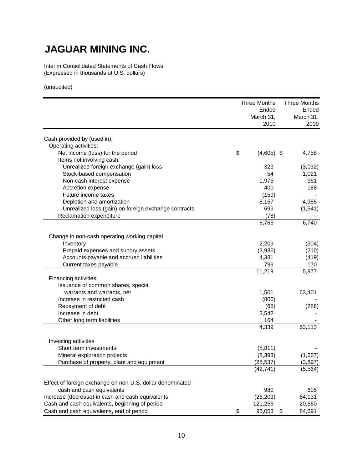# **JAGUAR MINING INC.**

Interim Consolidated Statements of Cash Flows (Expressed in thousands of U.S. dollars)

(unaudited)

|                                                           |                 | <b>Three Months</b>    | <b>Three Months</b> |
|-----------------------------------------------------------|-----------------|------------------------|---------------------|
|                                                           |                 | Ended                  | Ended               |
|                                                           |                 | March 31,              | March 31,           |
|                                                           |                 | 2010                   | 2009                |
| Cash provided by (used in):                               |                 |                        |                     |
| Operating activities:                                     |                 |                        |                     |
| Net income (loss) for the period                          | \$              | $(4,605)$ \$           | 4,758               |
| Items not involving cash:                                 |                 |                        |                     |
| Unrealized foreign exchange (gain) loss                   |                 | 323                    | (3,032)             |
| Stock-based compensation                                  |                 | 54                     | 1,021               |
| Non-cash interest expense                                 |                 | 1,975                  | 361                 |
| Accretion expense                                         |                 | 400                    | 188                 |
| Future income taxes                                       |                 | (159)                  |                     |
| Depletion and amortization                                |                 | 8,157                  | 4,985               |
| Unrealized loss (gain) on foreign exchange contracts      |                 | 699                    | (1, 541)            |
| Reclamation expenditure                                   |                 | (78)                   |                     |
|                                                           |                 | 6,766                  | 6,740               |
| Change in non-cash operating working capital              |                 |                        |                     |
| Inventory                                                 |                 | 2,209                  | (304)               |
| Prepaid expenses and sundry assets                        |                 | (2,936)                | (210)               |
| Accounts payable and accrued liabilities                  |                 | 4,381                  | (419)               |
| Current taxes payable                                     |                 | 799                    | 170                 |
|                                                           |                 | 11,219                 | 5,977               |
| Financing activities:                                     |                 |                        |                     |
| Issuance of common shares, special                        |                 |                        |                     |
| warrants and warrants, net                                |                 | 1,501                  | 63,401              |
| Increase in restricted cash                               |                 | (800)                  |                     |
| Repayment of debt                                         |                 | (68)                   | (288)               |
| Increase in debt                                          |                 | 3,542                  |                     |
| Other long term liabilities                               |                 | 164                    |                     |
|                                                           |                 | 4,339                  | 63,113              |
| Investing activities                                      |                 |                        |                     |
| Short term investments                                    |                 |                        |                     |
|                                                           |                 | (5,811)                |                     |
| Mineral exploration projects                              |                 | (8, 393)               | (1,667)             |
| Purchase of property, plant and equipment                 |                 | (28, 537)<br>(42, 741) | (3,897)<br>(5, 564) |
|                                                           |                 |                        |                     |
| Effect of foreign exchange on non-U.S. dollar denominated |                 |                        |                     |
| cash and cash equivalents                                 |                 | 980                    | 605                 |
| Increase (decrease) in cash and cash equivalents          |                 | (26, 203)              | 64,131              |
| Cash and cash equivalents, beginning of period            |                 | 121,256                | 20,560              |
| Cash and cash equivalents, end of period                  | $\overline{\$}$ | 95,053                 | 84,691<br>\$        |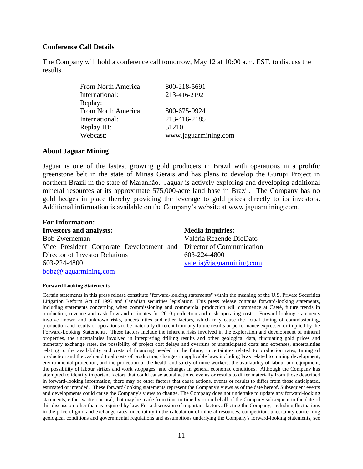#### **Conference Call Details**

The Company will hold a conference call tomorrow, May 12 at 10:00 a.m. EST, to discuss the results.

| From North America: | 800-218-5691         |
|---------------------|----------------------|
| International:      | 213-416-2192         |
| Replay:             |                      |
| From North America: | 800-675-9924         |
| International:      | 213-416-2185         |
| Replay ID:          | 51210                |
| Webcast:            | www.jaguarmining.com |

#### **About Jaguar Mining**

Jaguar is one of the fastest growing gold producers in Brazil with operations in a prolific greenstone belt in the state of Minas Gerais and has plans to develop the Gurupi Project in northern Brazil in the state of Maranhão. Jaguar is actively exploring and developing additional mineral resources at its approximate 575,000-acre land base in Brazil. The Company has no gold hedges in place thereby providing the leverage to gold prices directly to its investors. Additional information is available on the Company's website at www.jaguarmining.com.

| <b>For Information:</b>                                            |                          |
|--------------------------------------------------------------------|--------------------------|
| <b>Investors and analysts:</b>                                     | <b>Media inquiries:</b>  |
| <b>Bob Zwerneman</b>                                               | Valéria Rezende DioDato  |
| Vice President Corporate Development and Director of Communication |                          |
| Director of Investor Relations                                     | 603-224-4800             |
| 603-224-4800                                                       | valeria@jaguarmining.com |
| bobz@jaguarmining.com                                              |                          |

#### **Forward Looking Statements**

Certain statements in this press release constitute "forward-looking statements" within the meaning of the U.S. Private Securities Litigation Reform Act of 1995 and Canadian securities legislation. This press release contains forward-looking statements, including statements concerning when commissioning and commercial production will commence at Caeté, future trends in production, revenue and cash flow and estimates for 2010 production and cash operating costs. Forward-looking statements involve known and unknown risks, uncertainties and other factors, which may cause the actual timing of commissioning, production and results of operations to be materially different from any future results or performance expressed or implied by the Forward-Looking Statements. These factors include the inherent risks involved in the exploration and development of mineral properties, the uncertainties involved in interpreting drilling results and other geological data, fluctuating gold prices and monetary exchange rates, the possibility of project cost delays and overruns or unanticipated costs and expenses, uncertainties relating to the availability and costs of financing needed in the future, uncertainties related to production rates, timing of production and the cash and total costs of production, changes in applicable laws including laws related to mining development, environmental protection, and the protection of the health and safety of mine workers, the availability of labour and equipment, the possibility of labour strikes and work stoppages and changes in general economic conditions. Although the Company has attempted to identify important factors that could cause actual actions, events or results to differ materially from those described in forward-looking information, there may be other factors that cause actions, events or results to differ from those anticipated, estimated or intended. These forward-looking statements represent the Company's views as of the date hereof. Subsequent events and developments could cause the Company's views to change. The Company does not undertake to update any forward-looking statements, either written or oral, that may be made from time to time by or on behalf of the Company subsequent to the date of this discussion other than as required by law. For a discussion of important factors affecting the Company, including fluctuations in the price of gold and exchange rates, uncertainty in the calculation of mineral resources, competition, uncertainty concerning geological conditions and governmental regulations and assumptions underlying the Company's forward-looking statements, see